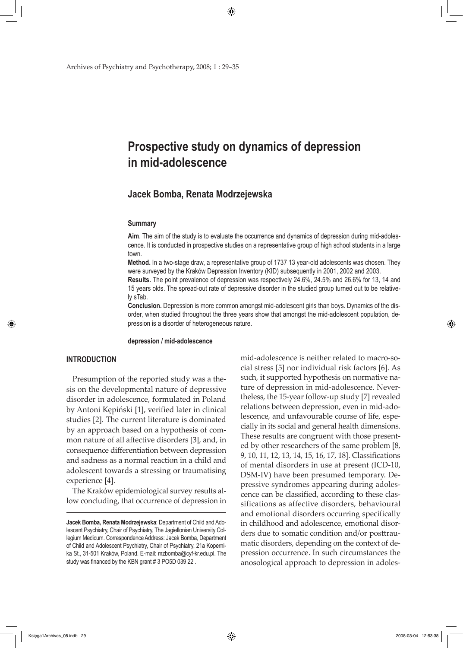Archives of Psychiatry and Psychotherapy, 2008; 1 : 29–35

# **Prospective study on dynamics of depression in mid-adolescence**

# **Jacek Bomba, Renata Modrzejewska**

#### **Summary**

**Aim**. The aim of the study is to evaluate the occurrence and dynamics of depression during mid-adolescence. It is conducted in prospective studies on a representative group of high school students in a large town.

**Method.** In a two-stage draw, a representative group of 1737 13 year-old adolescents was chosen. They were surveyed by the Kraków Depression Inventory (KID) subsequently in 2001, 2002 and 2003. **Results.** The point prevalence of depression was respectively 24.6%, 24.5% and 26.6% for 13, 14 and 15 years olds. The spread-out rate of depressive disorder in the studied group turned out to be relatively sTab.

**Conclusion.** Depression is more common amongst mid-adolescent girls than boys. Dynamics of the disorder, when studied throughout the three years show that amongst the mid-adolescent population, depression is a disorder of heterogeneous nature.

### **depression / mid-adolescence**

## **INTRODUCTION**

↔

Presumption of the reported study was a thesis on the developmental nature of depressive disorder in adolescence, formulated in Poland by Antoni Kępiński [1], verified later in clinical studies [2]. The current literature is dominated by an approach based on a hypothesis of common nature of all affective disorders [3], and, in consequence differentiation between depression and sadness as a normal reaction in a child and adolescent towards a stressing or traumatising experience [4].

The Kraków epidemiological survey results allow concluding, that occurrence of depression in mid-adolescence is neither related to macro-social stress [5] nor individual risk factors [6]. As such, it supported hypothesis on normative nature of depression in mid-adolescence. Nevertheless, the 15-year follow-up study [7] revealed relations between depression, even in mid-adolescence, and unfavourable course of life, especially in its social and general health dimensions. These results are congruent with those presented by other researchers of the same problem [8, 9, 10, 11, 12, 13, 14, 15, 16, 17, 18]. Classifications of mental disorders in use at present (ICD-10, DSM-IV) have been presumed temporary. Depressive syndromes appearing during adolescence can be classified, according to these classifications as affective disorders, behavioural and emotional disorders occurring specifically in childhood and adolescence, emotional disorders due to somatic condition and/or posttraumatic disorders, depending on the context of depression occurrence. In such circumstances the anosological approach to depression in adoles $\Leftrightarrow$ 

**Jacek Bomba, Renata Modrzejewska**: Department of Child and Adolescent Psychiatry, Chair of Psychiatry, The Jagiellonian University Collegium Medicum. Correspondence Address: Jacek Bomba, Department of Child and Adolescent Psychiatry, Chair of Psychiatry, 21a Kopernika St., 31-501 Kraków, Poland. E-mail: mzbomba@cyf-kr.edu.pl. The study was financed by the KBN grant # 3 PO5D 039 22 .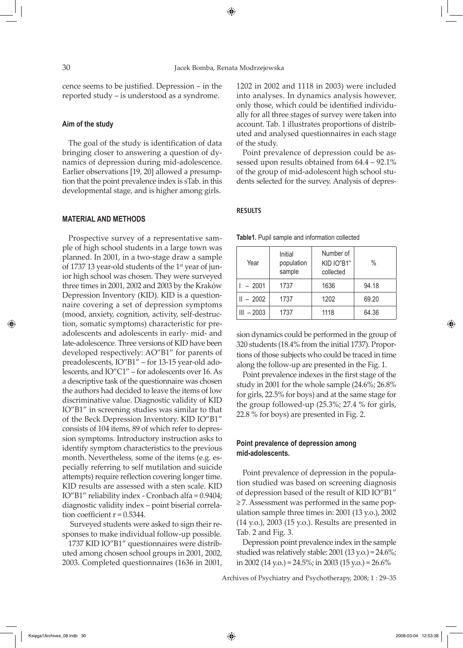⇔

cence seems to be justified. Depression – in the reported study – is understood as a syndrome.

## **Aim of the study**

The goal of the study is identification of data bringing closer to answering a question of dynamics of depression during mid-adolescence. Earlier observations [19, 20] allowed a presumption that the point prevalence index is sTab. in this developmental stage, and is higher among girls.

### **MATERIAL AND METHODS**

Prospective survey of a representative sample of high school students in a large town was planned. In 2001, in a two-stage draw a sample of 1737 13 year-old students of the 1st year of junior high school was chosen. They were surveyed three times in 2001, 2002 and 2003 by the Kraków Depression Inventory (KID). KID is a questionnaire covering a set of depression symptoms (mood, anxiety, cognition, activity, self-destruction, somatic symptoms) characteristic for preadolescents and adolescents in early- mid- and late-adolescence. Three versions of KID have been developed respectively: AO"B1" for parents of preadolescents, IO"B1" – for 13-15 year-old adolescents, and IO"C1" – for adolescents over 16. As a descriptive task of the questionnaire was chosen the authors had decided to leave the items of low discriminative value. Diagnostic validity of KID IO"B1" in screening studies was similar to that of the Beck Depression Inventory. KID IO"B1" consists of 104 items, 89 of which refer to depression symptoms. Introductory instruction asks to identify symptom characteristics to the previous month. Nevertheless, some of the items (e.g. especially referring to self mutilation and suicide attempts) require reflection covering longer time. KID results are assessed with a sten scale. KID IO"B1" reliability index - Cronbach alfa = 0.9404; diagnostic validity index – point biserial correlation coefficient  $r = 0.5344$ .

 Surveyed students were asked to sign their responses to make individual follow-up possible.

1737 KID IO"B1" questionnaires were distributed among chosen school groups in 2001, 2002, 2003. Completed questionnaires (1636 in 2001,

1202 in 2002 and 1118 in 2003) were included into analyses. In dynamics analysis however, only those, which could be identified individually for all three stages of survey were taken into account. Tab. 1 illustrates proportions of distributed and analysed questionnaires in each stage of the study.

Point prevalence of depression could be assessed upon results obtained from 64.4 – 92.1% of the group of mid-adolescent high school students selected for the survey. Analysis of depres-

### **RESULTS**

| Year         | Initial<br>population<br>sample | Number of<br>KID IO"B1"<br>collected | $\%$  |
|--------------|---------------------------------|--------------------------------------|-------|
| $-2001$      | 1737                            | 1636                                 | 94.18 |
| $II - 2002$  | 1737                            | 1202                                 | 69.20 |
| $III - 2003$ | 1737                            | 1118                                 | 64.36 |

**Table1.** Pupil sample and information collected

sion dynamics could be performed in the group of 320 students (18.4% from the initial 1737). Proportions of those subjects who could be traced in time along the follow-up are presented in the Fig. 1.

Point prevalence indexes in the first stage of the study in 2001 for the whole sample (24.6%; 26.8% for girls, 22.5% for boys) and at the same stage for the group followed-up (25.3%; 27.4 % for girls, 22.8 % for boys) are presented in Fig. 2.

## **Point prevalence of depression among mid-adolescents.**

Point prevalence of depression in the population studied was based on screening diagnosis of depression based of the result of KID IO"B1" ≥ 7. Assessment was performed in the same population sample three times in: 2001 (13 y.o.), 2002 (14 y.o.), 2003 (15 y.o.). Results are presented in Tab. 2 and Fig. 3.

Depression point prevalence index in the sample studied was relatively stable: 2001 (13 y.o.) = 24.6%; in 2002 (14 y.o.) = 24.5%; in 2003 (15 y.o.) = 26.6%

Archives of Psychiatry and Psychotherapy, 2008; 1 : 29–35

 $\Leftrightarrow$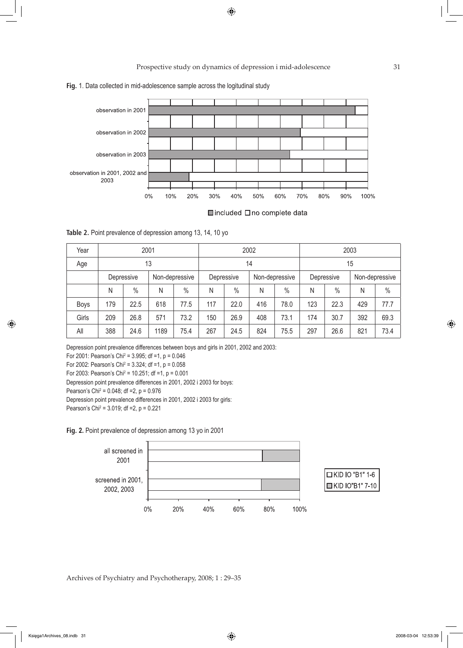◈

## Prospective study on dynamics of depression i mid-adolescence 31





**■included □no complete data** 

|  |  |  |  | Table 2. Point prevalence of depression among 13, 14, 10 yo |  |  |  |  |
|--|--|--|--|-------------------------------------------------------------|--|--|--|--|
|--|--|--|--|-------------------------------------------------------------|--|--|--|--|

| Year  | 2001 |            |      | 2002           |     |               | 2003 |                |     |               |     |                |
|-------|------|------------|------|----------------|-----|---------------|------|----------------|-----|---------------|-----|----------------|
| Age   | 13   |            |      | 14             |     |               | 15   |                |     |               |     |                |
|       |      | Depressive |      | Non-depressive |     | Depressive    |      | Non-depressive |     | Depressive    |     | Non-depressive |
|       | N    | $\%$       | N    | $\frac{0}{0}$  | N   | $\frac{0}{0}$ | N    | $\frac{0}{0}$  | Ν   | $\frac{0}{0}$ | N   | $\frac{0}{0}$  |
| Boys  | 179  | 22.5       | 618  | 77.5           | 117 | 22.0          | 416  | 78.0           | 123 | 22.3          | 429 | 77.7           |
| Girls | 209  | 26.8       | 571  | 73.2           | 150 | 26.9          | 408  | 73.1           | 174 | 30.7          | 392 | 69.3           |
| All   | 388  | 24.6       | 1189 | 75.4           | 267 | 24.5          | 824  | 75.5           | 297 | 26.6          | 821 | 73.4           |

Depression point prevalence differences between boys and girls in 2001, 2002 and 2003:

For 2001: Pearson's Chi<sup>2</sup> = 3.995; df =1, p = 0.046

For 2002: Pearson's Chi<sup>2</sup> = 3.324; df =1,  $p = 0.058$ 

For 2003: Pearson's Chi<sup>2</sup> = 10.251; df =1, p = 0.001

Depression point prevalence differences in 2001, 2002 i 2003 for boys:

Pearson's Chi2 = 0.048; df =2, p = 0.976

Depression point prevalence differences in 2001, 2002 i 2003 for girls: Pearson's Chi2 = 3.019; df =2, p = 0.221

**Fig. 2.** Point prevalence of depression among 13 yo in 2001



Archives of Psychiatry and Psychotherapy, 2008; 1 : 29–35

⊕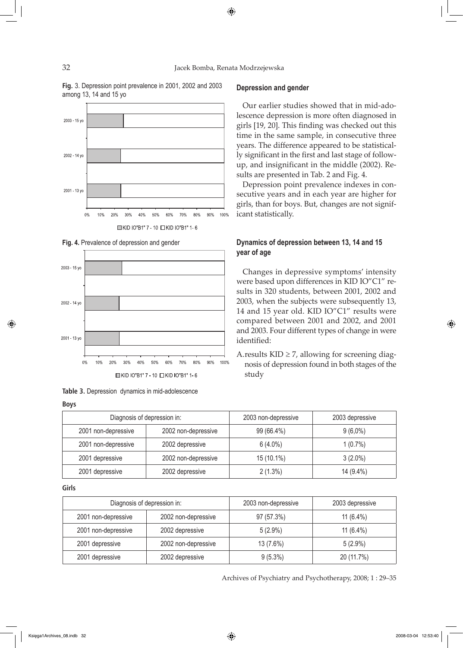32 Jacek Bomba, Renata Modrzejewska

⊕

**Fig.** 3. Depression point prevalence in 2001, 2002 and 2003 among 13, 14 and 15 yo







**Table 3.** Depression dynamics in mid-adolescence

## **Boys**

⊕

# Diagnosis of depression in: 2003 non-depressive | 2003 depressive 2001 non-depressive 2002 non-depressive 99 (66.4%) 9 (6,0%) 2001 non-depressive 2002 depressive 6 (4.0%) 1 (0.7%) 2001 depressive  $2002$  non-depressive | 15 (10.1%) | 3 (2.0%) 2001 depressive  $(9.4\%)$  2002 depressive  $(1.3\%)$  14 (9.4%)

#### **Girls**

|                     | Diagnosis of depression in: | 2003 non-depressive | 2003 depressive |
|---------------------|-----------------------------|---------------------|-----------------|
| 2001 non-depressive | 2002 non-depressive         | 97 (57.3%)          | 11 $(6.4\%)$    |
| 2001 non-depressive | 2002 depressive             | $5(2.9\%)$          | 11 $(6.4\%)$    |
| 2001 depressive     | 2002 non-depressive         | 13 (7.6%)           | $5(2.9\%)$      |
| 2001 depressive     | 2002 depressive             | $9(5.3\%)$          | 20 (11.7%)      |

Archives of Psychiatry and Psychotherapy, 2008; 1 : 29–35

**Depression and gender**

Our earlier studies showed that in mid-adolescence depression is more often diagnosed in girls [19, 20]. This finding was checked out this time in the same sample, in consecutive three years. The difference appeared to be statistically significant in the first and last stage of followup, and insignificant in the middle (2002). Results are presented in Tab. 2 and Fig. 4.

Depression point prevalence indexes in consecutive years and in each year are higher for girls, than for boys. But, changes are not significant statistically.

# **Dynamics of depression between 13, 14 and 15 year of age**

Changes in depressive symptoms' intensity were based upon differences in KID IO"C1" results in 320 students, between 2001, 2002 and 2003, when the subjects were subsequently 13, 14 and 15 year old. KID IO"C1" results were compared between 2001 and 2002, and 2001 and 2003. Four different types of change in were identified:

A.results  $KID \geq 7$ , allowing for screening diagnosis of depression found in both stages of the study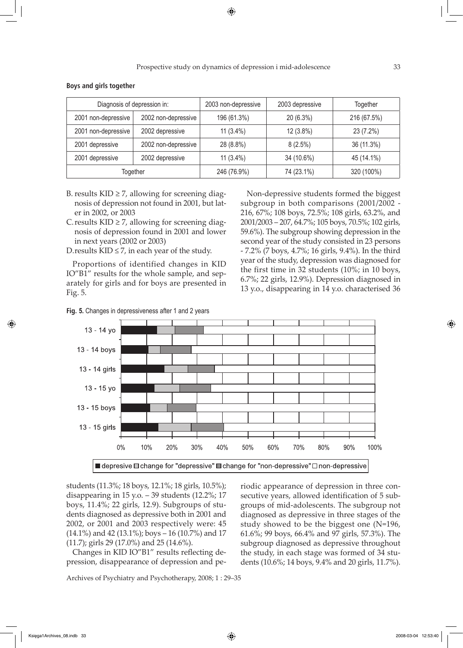#### **Boys and girls together**

| Diagnosis of depression in: |                     | 2003 non-depressive | 2003 depressive | Together    |  |
|-----------------------------|---------------------|---------------------|-----------------|-------------|--|
| 2001 non-depressive         | 2002 non-depressive | 196 (61.3%)         | 20 (6.3%)       | 216 (67.5%) |  |
| 2001 non-depressive         | 2002 depressive     | $11(3.4\%)$         | $12(3.8\%)$     | 23 (7.2%)   |  |
| 2001 depressive             | 2002 non-depressive | 28 (8.8%)           | 8(2.5%)         | 36 (11.3%)  |  |
| 2001 depressive             | 2002 depressive     | $11(3.4\%)$         | 34 (10.6%)      | 45 (14.1%)  |  |
| Together                    |                     | 246 (76.9%)         | 74 (23.1%)      | 320 (100%)  |  |

- B. results  $KID \geq 7$ , allowing for screening diagnosis of depression not found in 2001, but later in 2002, or 2003
- C. results  $KID \geq 7$ , allowing for screening diagnosis of depression found in 2001 and lower in next years (2002 or 2003)
- D.results  $KID \le 7$ , in each year of the study.

Proportions of identified changes in KID IO"B1" results for the whole sample, and separately for girls and for boys are presented in Fig. 5.

Non-depressive students formed the biggest subgroup in both comparisons (2001/2002 - 216, 67%; 108 boys, 72.5%; 108 girls, 63.2%, and 2001/2003 – 207, 64.7%; 105 boys, 70.5%; 102 girls, 59.6%). The subgroup showing depression in the second year of the study consisted in 23 persons - 7.2% (7 boys, 4.7%; 16 girls, 9.4%). In the third year of the study, depression was diagnosed for the first time in 32 students (10%; in 10 boys, 6.7%; 22 girls, 12.9%). Depression diagnosed in 13 y.o., disappearing in 14 y.o. characterised 36



students (11.3%; 18 boys, 12.1%; 18 girls, 10.5%); disappearing in 15 y.o. – 39 students (12.2%; 17 boys, 11.4%; 22 girls, 12.9). Subgroups of students diagnosed as depressive both in 2001 and 2002, or 2001 and 2003 respectively were: 45 (14.1%) and 42 (13.1%); boys – 16 (10.7%) and 17 (11.7); girls 29 (17.0%) and 25 (14.6%).

Changes in KID IO"B1" results reflecting depression, disappearance of depression and pe-

Archives of Psychiatry and Psychotherapy, 2008; 1 : 29–35

riodic appearance of depression in three consecutive years, allowed identification of 5 subgroups of mid-adolescents. The subgroup not diagnosed as depressive in three stages of the study showed to be the biggest one (N=196, 61.6%; 99 boys, 66.4% and 97 girls, 57.3%). The subgroup diagnosed as depressive throughout the study, in each stage was formed of 34 students (10.6%; 14 boys, 9.4% and 20 girls, 11.7%).

⊕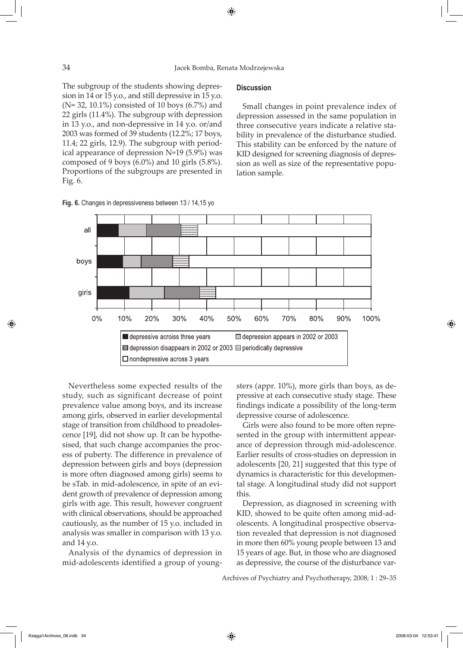The subgroup of the students showing depression in 14 or 15 y.o., and still depressive in 15 y.o. (N= 32, 10.1%) consisted of 10 boys (6.7%) and 22 girls (11.4%). The subgroup with depression in 13 y.o., and non-depressive in 14 y.o. or/and 2003 was formed of 39 students (12.2%; 17 boys, 11.4; 22 girls, 12.9). The subgroup with periodical appearance of depression N=19 (5.9%) was composed of 9 boys (6.0%) and 10 girls (5.8%). Proportions of the subgroups are presented in Fig. 6.



## **Discussion**

Small changes in point prevalence index of depression assessed in the same population in three consecutive years indicate a relative stability in prevalence of the disturbance studied. This stability can be enforced by the nature of KID designed for screening diagnosis of depression as well as size of the representative population sample.



Nevertheless some expected results of the study, such as significant decrease of point prevalence value among boys, and its increase among girls, observed in earlier developmental stage of transition from childhood to preadolescence [19], did not show up. It can be hypothesised, that such change accompanies the process of puberty. The difference in prevalence of depression between girls and boys (depression is more often diagnosed among girls) seems to be sTab. in mid-adolescence, in spite of an evident growth of prevalence of depression among girls with age. This result, however congruent with clinical observations, should be approached cautiously, as the number of 15 y.o. included in analysis was smaller in comparison with 13 y.o. and 14 y.o.

Analysis of the dynamics of depression in mid-adolescents identified a group of youngsters (appr. 10%), more girls than boys, as depressive at each consecutive study stage. These findings indicate a possibility of the long-term depressive course of adolescence.

Girls were also found to be more often represented in the group with intermittent appearance of depression through mid-adolescence. Earlier results of cross-studies on depression in adolescents [20, 21] suggested that this type of dynamics is characteristic for this developmental stage. A longitudinal study did not support this.

Depression, as diagnosed in screening with KID, showed to be quite often among mid-adolescents. A longitudinal prospective observation revealed that depression is not diagnosed in more then 60% young people between 13 and 15 years of age. But, in those who are diagnosed as depressive, the course of the disturbance var-

Archives of Psychiatry and Psychotherapy, 2008; 1 : 29–35

↔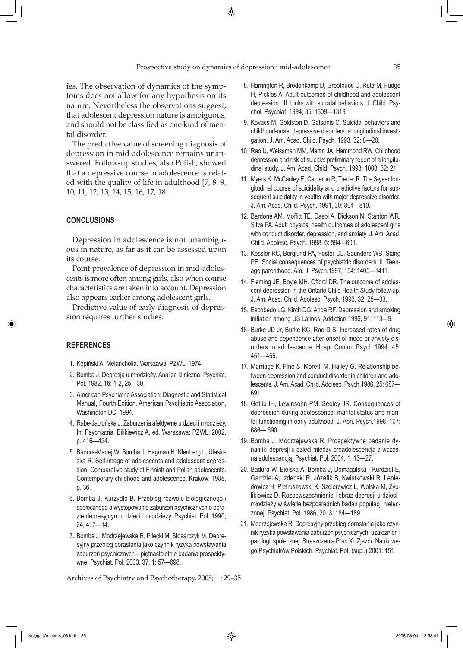ies. The observation of dynamics of the symptoms does not allow for any hypothesis on its nature. Nevertheless the observations suggest, that adolescent depression nature is ambiguous, and should not be classified as one kind of mental disorder.

The predictive value of screening diagnosis of depression in mid-adolescence remains unanswered. Follow-up studies, also Polish, showed that a depressive course in adolescence is related with the quality of life in adulthood [7, 8, 9, 10, 11, 12, 13, 14, 15, 16, 17, 18].

## **Conclusions**

Depression in adolescence is not unambiguous in nature, as far as it can be assessed upon its course.

Point prevalence of depression in mid-adolescents is more often among girls, also when course characteristics are taken into account. Depression also appears earlier among adolescent girls.

Predictive value of early diagnosis of depression requires further studies.

## **REFERENCES**

↔

- 1. Kępiński A. Melancholia. Warszawa: PZWL; 1974.
- 2. Bomba J. Depresja u młodzieży. Analiza kliniczna. Psychiat. Pol. 1982, 16: 1-2, 25—30.
- 3. American Psychiatric Association: Diagnostic and Statistical Manual, Fourth Edition. American Psychiatric Association, Washington DC, 1994.
- 4. Rabe-Jabłońska J. Zaburzenia afektywne u dzieci i młodzieży. In: Psychiatria. Bilikiewicz A. ed. Warszawa: PZWL; 2002. p. 416—424.
- 5. Badura-Madej W, Bomba J, Hagman H, Klenberg L, Ulasinska R. Self-image of adolescents and adolescent depression. Comparative study of Finnish and Polish adolescents. Contemporary childhood and adolescence, Kraków: 1988. p. 36.
- 6. Bomba J, Kurzydło B. Przebieg rozwoju biologicznego i społecznego a występowanie zaburzeń psychicznych o obrazie depresyjnym u dzieci i młodzieży. Psychiat. Pol. 1990, 24, 4: 7—14.
- 7. Bomba J, Modrzejewska R, Pilecki M, Ślosarczyk M. Depresyjny przebieg dorastania jako czynnik ryzyka powstawania zaburzeń psychicznych – piętnastoletnie badania prospektywne. Psychiat. Pol. 2003, 37, 1: 57—698.

Archives of Psychiatry and Psychotherapy, 2008; 1 : 29–35

- 8. Harrington R, Bredenkamp D, Groothues C, Ruttr M, Fudge H, Pickles A. Adult outcomes of childhood and adolescent depression: III. Links with suicidal behaviors. J. Child. Psychol. Psychiat. 1994, 35: 1309—1319.
- 9. Kovacs M, Goldston D, Gatsonis C. Suicidal behaviors and childhood-onset depressive disorders: a longitudinal investigation. J. Am. Acad. Child. Psych. 1993, 32: 8—20.
- 10. Rao U, Weissman MM, Martin JA, Hammond RW. Childhood depression and risk of suicide: preliminary report of a longitudinal study. J. Am. Acad. Child. Psych. 1993; 1003, 32: 21
- 11. Myers K, McCauley E, Calderon R, Treder R. The 3-year longitudinal course of suicidality and predictive factors for subsequent suicidality in youths with major depressive disorder. J. Am. Acad. Child. Psych. 1991, 30: 804—810.
- 12. Bardone AM, Moffitt TE, Caspi A, Dickson N, Stanton WR, Silva PA. Adult physical health outcomes of adolescent girls with conduct disorder, depression, and anxiety. J. Am. Acad. Child. Adolesc. Psych. 1998, 6: 594—601.
- 13. Kessler RC, Berglund PA, Foster CL, Saunders WB, Stang PE. Social consequences of psychiatric disorders: II. Teenage parenthood. Am. J. Psych.1997, 154: 1405—1411.
- 14. Fleming JE, Boyle MH, Offord DR. The outcome of adolescent depression in the Ontario Child Health Study follow-up. J. Am. Acad. Child. Adolesc. Psych. 1993, 32: 28—33.
- 15. Escobedo LG; Kirch DG; Anda RF. Depression and smoking initiation among US Latinos. Addiction.1996, 91: 113—9.
- 16. Burke JD Jr, Burke KC, Rae D S. Increased rates of drug abuse and dependence after onset of mood or anxiety disorders in adolescence. Hosp. Comm. Psych.1994, 45: 451—455.
- 17. Marriage K, Fine S, Moretti M, Halley G. Relationship between depression and conduct disorder in children and adolescents. J. Am. Acad. Child. Adolesc. Psych.1986, 25: 687— 691.
- 18. Gotlib IH, Lewinsohn PM, Seeley JR. Consequences of depression during adolescence: marital status and marital functioning in early adulthood. J. Abn. Psych.1998, 107: 686— 690.
- 19. Bomba J, Modrzejewska R. Prospektywne badanie dynamiki depresji u dzieci między preadolescencją a wczesna adolescencją. Psychiat. Pol. 2004, 1: 13—27.
- 20. Badura W, Bielska A, Bomba J, Domagalska Kurdziel E, Gardziel A, Izdebski R, Józefik B, Kwiatkowski R, Lebiedowicz H, Pietruszewski K, Szelerewicz L, Wolska M, Zyblikiewicz D. Rozpowszechnienie i obraz depresji u dzieci i młodzieży w świetle bezpośrednich badań populacji nieleczonej. Psychiat. Pol. 1986, 20, 3: 184—189
- 21. Modrzejewska R. Depresyjny przebieg dorastania jako czynnik ryzyka powstawania zaburzeń psychicznych, uzależnień i patologii społecznej. Streszczenia Prac XL Zjazdu Naukowego Psychiatrów Polskich. Psychiat. Pol. (supl.) 2001: 151.